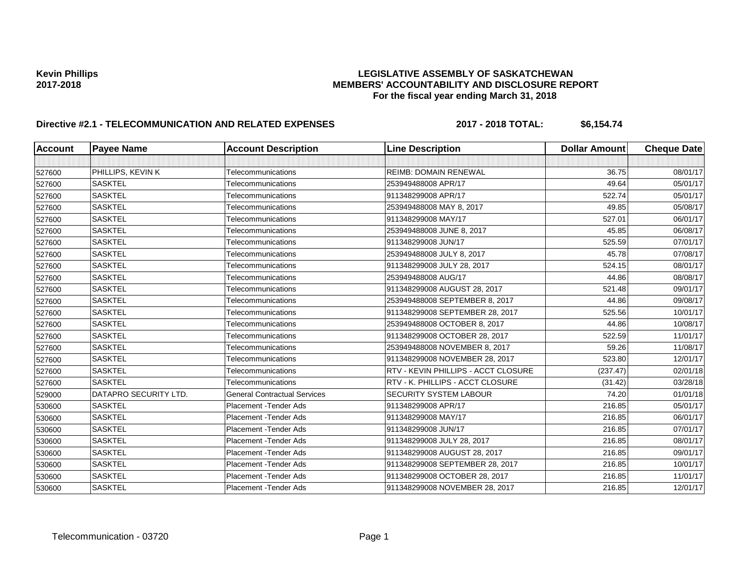# Kevin Phillips<br>LEGISLATIVE ASSEMBLY OF SASKATCHEWAN<br>MEMBERS' ACCOUNTABILITY AND DISCLOSURE REF **2017-2018 MEMBERS' ACCOUNTABILITY AND DISCLOSURE REPORT For the fiscal year ending March 31, 2018**

# Directive #2.1 - TELECOMMUNICATION AND RELATED EXPENSES 2017 - 2018 TOTAL: \$6,154.74

| <b>Account</b> | <b>Payee Name</b>     | <b>Account Description</b>          | <b>Line Description</b>             | <b>Dollar Amount</b> | <b>Cheque Date</b> |
|----------------|-----------------------|-------------------------------------|-------------------------------------|----------------------|--------------------|
|                |                       |                                     |                                     |                      |                    |
| 527600         | PHILLIPS, KEVIN K     | Telecommunications                  | REIMB: DOMAIN RENEWAL               | 36.75                | 08/01/17           |
| 527600         | <b>SASKTEL</b>        | Telecommunications                  | 253949488008 APR/17                 | 49.64                | 05/01/17           |
| 527600         | <b>SASKTEL</b>        | Telecommunications                  | 911348299008 APR/17                 | 522.74               | 05/01/17           |
| 527600         | <b>SASKTEL</b>        | Telecommunications                  | 253949488008 MAY 8, 2017            | 49.85                | 05/08/17           |
| 527600         | <b>SASKTEL</b>        | Telecommunications                  | 911348299008 MAY/17                 | 527.01               | 06/01/17           |
| 527600         | <b>SASKTEL</b>        | Telecommunications                  | 253949488008 JUNE 8, 2017           | 45.85                | 06/08/17           |
| 527600         | <b>SASKTEL</b>        | Telecommunications                  | 911348299008 JUN/17                 | 525.59               | 07/01/17           |
| 527600         | <b>SASKTEL</b>        | Telecommunications                  | 253949488008 JULY 8, 2017           | 45.78                | 07/08/17           |
| 527600         | <b>SASKTEL</b>        | Telecommunications                  | 911348299008 JULY 28, 2017          | 524.15               | 08/01/17           |
| 527600         | <b>SASKTEL</b>        | Telecommunications                  | 253949488008 AUG/17                 | 44.86                | 08/08/17           |
| 527600         | <b>SASKTEL</b>        | Telecommunications                  | 911348299008 AUGUST 28, 2017        | 521.48               | 09/01/17           |
| 527600         | <b>SASKTEL</b>        | Telecommunications                  | 253949488008 SEPTEMBER 8, 2017      | 44.86                | 09/08/17           |
| 527600         | <b>SASKTEL</b>        | Telecommunications                  | 911348299008 SEPTEMBER 28, 2017     | 525.56               | 10/01/17           |
| 527600         | <b>SASKTEL</b>        | Telecommunications                  | 253949488008 OCTOBER 8, 2017        | 44.86                | 10/08/17           |
| 527600         | <b>SASKTEL</b>        | Telecommunications                  | 911348299008 OCTOBER 28, 2017       | 522.59               | 11/01/17           |
| 527600         | <b>SASKTEL</b>        | Telecommunications                  | 253949488008 NOVEMBER 8, 2017       | 59.26                | 11/08/17           |
| 527600         | <b>SASKTEL</b>        | Telecommunications                  | 911348299008 NOVEMBER 28, 2017      | 523.80               | 12/01/17           |
| 527600         | <b>SASKTEL</b>        | Telecommunications                  | RTV - KEVIN PHILLIPS - ACCT CLOSURE | (237.47)             | 02/01/18           |
| 527600         | <b>SASKTEL</b>        | Telecommunications                  | RTV - K. PHILLIPS - ACCT CLOSURE    | (31.42)              | 03/28/18           |
| 529000         | DATAPRO SECURITY LTD. | <b>General Contractual Services</b> | SECURITY SYSTEM LABOUR              | 74.20                | 01/01/18           |
| 530600         | <b>SASKTEL</b>        | Placement - Tender Ads              | 911348299008 APR/17                 | 216.85               | 05/01/17           |
| 530600         | <b>SASKTEL</b>        | Placement - Tender Ads              | 911348299008 MAY/17                 | 216.85               | 06/01/17           |
| 530600         | <b>SASKTEL</b>        | Placement - Tender Ads              | 911348299008 JUN/17                 | 216.85               | 07/01/17           |
| 530600         | <b>SASKTEL</b>        | Placement - Tender Ads              | 911348299008 JULY 28, 2017          | 216.85               | 08/01/17           |
| 530600         | <b>SASKTEL</b>        | Placement - Tender Ads              | 911348299008 AUGUST 28, 2017        | 216.85               | 09/01/17           |
| 530600         | <b>SASKTEL</b>        | Placement - Tender Ads              | 911348299008 SEPTEMBER 28, 2017     | 216.85               | 10/01/17           |
| 530600         | <b>SASKTEL</b>        | Placement - Tender Ads              | 911348299008 OCTOBER 28, 2017       | 216.85               | 11/01/17           |
| 530600         | <b>SASKTEL</b>        | Placement - Tender Ads              | 911348299008 NOVEMBER 28, 2017      | 216.85               | 12/01/17           |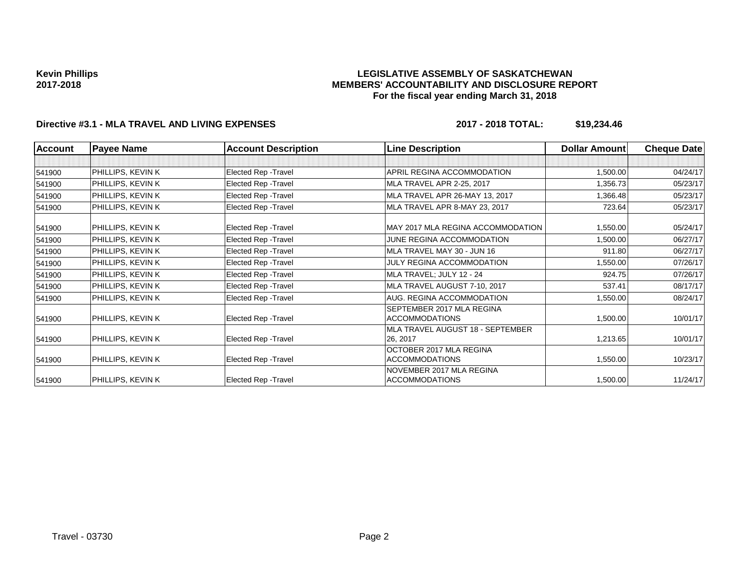## **LEGISLATIVE ASSEMBLY OF SASKATCHEWAN MEMBERS' ACCOUNTABILITY AND DISCLOSURE REPORT For the fiscal year ending March 31, 2018**

# **Directive #3.1 - MLA TRAVEL AND LIVING EXPENSES 2017 - 2018 TOTAL: \$19,234.46**

| Account | <b>Payee Name</b>        | <b>Account Description</b>  | <b>Line Description</b>                            | <b>Dollar Amount</b> | <b>Cheque Date</b> |
|---------|--------------------------|-----------------------------|----------------------------------------------------|----------------------|--------------------|
|         |                          |                             |                                                    |                      |                    |
| 541900  | <b>PHILLIPS, KEVIN K</b> | <b>Elected Rep - Travel</b> | APRIL REGINA ACCOMMODATION                         | 1,500.00             | 04/24/17           |
| 541900  | PHILLIPS, KEVIN K        | Elected Rep - Travel        | MLA TRAVEL APR 2-25, 2017                          | 1,356.73             | 05/23/17           |
| 541900  | PHILLIPS, KEVIN K        | Elected Rep - Travel        | MLA TRAVEL APR 26-MAY 13, 2017                     | 1,366.48             | 05/23/17           |
| 541900  | PHILLIPS, KEVIN K        | Elected Rep - Travel        | MLA TRAVEL APR 8-MAY 23, 2017                      | 723.64               | 05/23/17           |
| 541900  | <b>PHILLIPS, KEVIN K</b> | Elected Rep - Travel        | MAY 2017 MLA REGINA ACCOMMODATION                  | 1,550.00             | 05/24/17           |
| 541900  | PHILLIPS, KEVIN K        | Elected Rep - Travel        | JUNE REGINA ACCOMMODATION                          | 1,500.00             | 06/27/17           |
| 541900  | PHILLIPS, KEVIN K        | <b>Elected Rep - Travel</b> | MLA TRAVEL MAY 30 - JUN 16                         | 911.80               | 06/27/17           |
| 541900  | PHILLIPS, KEVIN K        | <b>Elected Rep - Travel</b> | JULY REGINA ACCOMMODATION                          | 1,550.00             | 07/26/17           |
| 541900  | PHILLIPS, KEVIN K        | Elected Rep - Travel        | MLA TRAVEL; JULY 12 - 24                           | 924.75               | 07/26/17           |
| 541900  | PHILLIPS, KEVIN K        | Elected Rep - Travel        | MLA TRAVEL AUGUST 7-10, 2017                       | 537.41               | 08/17/17           |
| 541900  | PHILLIPS, KEVIN K        | Elected Rep - Travel        | AUG. REGINA ACCOMMODATION                          | 1,550.00             | 08/24/17           |
| 541900  | <b>PHILLIPS, KEVIN K</b> | Elected Rep - Travel        | SEPTEMBER 2017 MLA REGINA<br><b>ACCOMMODATIONS</b> | 1,500.00             | 10/01/17           |
|         |                          |                             | MLA TRAVEL AUGUST 18 - SEPTEMBER                   |                      |                    |
| 541900  | <b>PHILLIPS, KEVIN K</b> | Elected Rep - Travel        | 26, 2017                                           | 1,213.65             | 10/01/17           |
| 541900  | <b>PHILLIPS, KEVIN K</b> | Elected Rep - Travel        | OCTOBER 2017 MLA REGINA<br><b>ACCOMMODATIONS</b>   | 1,550.00             | 10/23/17           |
| 541900  | PHILLIPS, KEVIN K        | Elected Rep - Travel        | NOVEMBER 2017 MLA REGINA<br><b>ACCOMMODATIONS</b>  | 1,500.00             | 11/24/17           |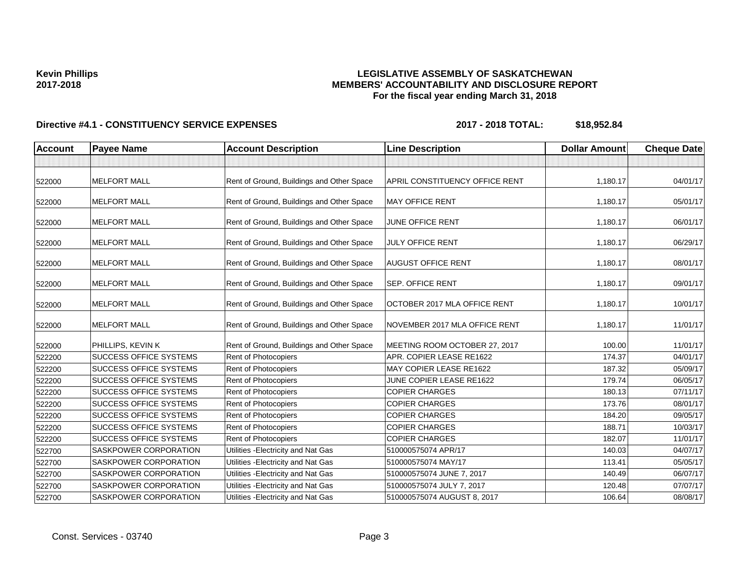## **LEGISLATIVE ASSEMBLY OF SASKATCHEWAN MEMBERS' ACCOUNTABILITY AND DISCLOSURE REPORT For the fiscal year ending March 31, 2018**

| <b>Account</b> | <b>Payee Name</b>             | <b>Account Description</b>                | <b>Line Description</b>               | <b>Dollar Amount</b> | <b>Cheque Date</b> |
|----------------|-------------------------------|-------------------------------------------|---------------------------------------|----------------------|--------------------|
|                |                               |                                           |                                       |                      |                    |
| 522000         | <b>MELFORT MALL</b>           | Rent of Ground, Buildings and Other Space | <b>APRIL CONSTITUENCY OFFICE RENT</b> | 1,180.17             | 04/01/17           |
| 522000         | <b>MELFORT MALL</b>           | Rent of Ground, Buildings and Other Space | <b>MAY OFFICE RENT</b>                | 1,180.17             | 05/01/17           |
| 522000         | <b>MELFORT MALL</b>           | Rent of Ground, Buildings and Other Space | <b>JUNE OFFICE RENT</b>               | 1,180.17             | 06/01/17           |
| 522000         | <b>MELFORT MALL</b>           | Rent of Ground, Buildings and Other Space | <b>JULY OFFICE RENT</b>               | 1,180.17             | 06/29/17           |
| 522000         | <b>MELFORT MALL</b>           | Rent of Ground, Buildings and Other Space | <b>AUGUST OFFICE RENT</b>             | 1,180.17             | 08/01/17           |
| 522000         | <b>MELFORT MALL</b>           | Rent of Ground, Buildings and Other Space | <b>SEP. OFFICE RENT</b>               | 1,180.17             | 09/01/17           |
| 522000         | <b>MELFORT MALL</b>           | Rent of Ground, Buildings and Other Space | OCTOBER 2017 MLA OFFICE RENT          | 1,180.17             | 10/01/17           |
| 522000         | <b>MELFORT MALL</b>           | Rent of Ground, Buildings and Other Space | NOVEMBER 2017 MLA OFFICE RENT         | 1,180.17             | 11/01/17           |
| 522000         | PHILLIPS, KEVIN K             | Rent of Ground, Buildings and Other Space | MEETING ROOM OCTOBER 27, 2017         | 100.00               | 11/01/17           |
| 522200         | <b>SUCCESS OFFICE SYSTEMS</b> | Rent of Photocopiers                      | APR. COPIER LEASE RE1622              | 174.37               | 04/01/17           |
| 522200         | <b>SUCCESS OFFICE SYSTEMS</b> | Rent of Photocopiers                      | MAY COPIER LEASE RE1622               | 187.32               | 05/09/17           |
| 522200         | <b>SUCCESS OFFICE SYSTEMS</b> | Rent of Photocopiers                      | JUNE COPIER LEASE RE1622              | 179.74               | 06/05/17           |
| 522200         | <b>SUCCESS OFFICE SYSTEMS</b> | Rent of Photocopiers                      | <b>COPIER CHARGES</b>                 | 180.13               | 07/11/17           |
| 522200         | <b>SUCCESS OFFICE SYSTEMS</b> | Rent of Photocopiers                      | <b>COPIER CHARGES</b>                 | 173.76               | 08/01/17           |
| 522200         | <b>SUCCESS OFFICE SYSTEMS</b> | Rent of Photocopiers                      | <b>COPIER CHARGES</b>                 | 184.20               | 09/05/17           |
| 522200         | <b>SUCCESS OFFICE SYSTEMS</b> | Rent of Photocopiers                      | <b>COPIER CHARGES</b>                 | 188.71               | 10/03/17           |
| 522200         | <b>SUCCESS OFFICE SYSTEMS</b> | Rent of Photocopiers                      | <b>COPIER CHARGES</b>                 | 182.07               | 11/01/17           |
| 522700         | <b>SASKPOWER CORPORATION</b>  | Utilities - Electricity and Nat Gas       | 510000575074 APR/17                   | 140.03               | 04/07/17           |
| 522700         | <b>SASKPOWER CORPORATION</b>  | Utilities - Electricity and Nat Gas       | 510000575074 MAY/17                   | 113.41               | 05/05/17           |
| 522700         | <b>SASKPOWER CORPORATION</b>  | Utilities - Electricity and Nat Gas       | 510000575074 JUNE 7, 2017             | 140.49               | 06/07/17           |
| 522700         | <b>SASKPOWER CORPORATION</b>  | Utilities - Electricity and Nat Gas       | 510000575074 JULY 7, 2017             | 120.48               | 07/07/17           |
| 522700         | <b>SASKPOWER CORPORATION</b>  | Utilities - Electricity and Nat Gas       | 510000575074 AUGUST 8, 2017           | 106.64               | 08/08/17           |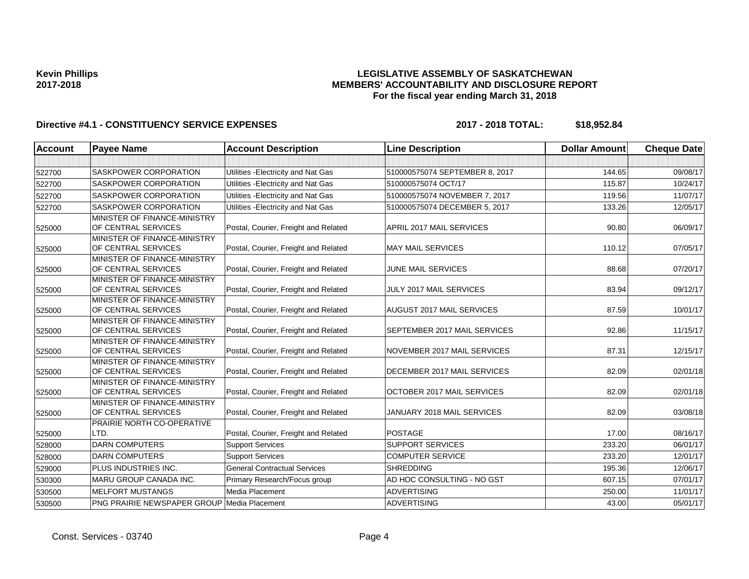## **LEGISLATIVE ASSEMBLY OF SASKATCHEWAN MEMBERS' ACCOUNTABILITY AND DISCLOSURE REPORT For the fiscal year ending March 31, 2018**

| <b>Account</b> | <b>Payee Name</b>                                   | <b>Account Description</b>           | <b>Line Description</b>        | <b>Dollar Amount</b> | <b>Cheque Date</b> |
|----------------|-----------------------------------------------------|--------------------------------------|--------------------------------|----------------------|--------------------|
|                |                                                     |                                      |                                |                      |                    |
| 522700         | SASKPOWER CORPORATION                               | Utilities - Electricity and Nat Gas  | 510000575074 SEPTEMBER 8, 2017 | 144.65               | 09/08/17           |
| 522700         | <b>SASKPOWER CORPORATION</b>                        | Utilities - Electricity and Nat Gas  | 510000575074 OCT/17            | 115.87               | 10/24/17           |
| 522700         | SASKPOWER CORPORATION                               | Utilities - Electricity and Nat Gas  | 510000575074 NOVEMBER 7, 2017  | 119.56               | 11/07/17           |
| 522700         | <b>SASKPOWER CORPORATION</b>                        | Utilities - Electricity and Nat Gas  | 510000575074 DECEMBER 5, 2017  | 133.26               | 12/05/17           |
| 525000         | MINISTER OF FINANCE-MINISTRY<br>OF CENTRAL SERVICES | Postal, Courier, Freight and Related | APRIL 2017 MAIL SERVICES       | 90.80                | 06/09/17           |
| 525000         | MINISTER OF FINANCE-MINISTRY<br>OF CENTRAL SERVICES | Postal, Courier, Freight and Related | <b>MAY MAIL SERVICES</b>       | 110.12               | 07/05/17           |
| 525000         | MINISTER OF FINANCE-MINISTRY<br>OF CENTRAL SERVICES | Postal, Courier, Freight and Related | <b>JUNE MAIL SERVICES</b>      | 88.68                | 07/20/17           |
| 525000         | MINISTER OF FINANCE-MINISTRY<br>OF CENTRAL SERVICES | Postal, Courier, Freight and Related | JULY 2017 MAIL SERVICES        | 83.94                | 09/12/17           |
| 525000         | MINISTER OF FINANCE-MINISTRY<br>OF CENTRAL SERVICES | Postal, Courier, Freight and Related | AUGUST 2017 MAIL SERVICES      | 87.59                | 10/01/17           |
| 525000         | MINISTER OF FINANCE-MINISTRY<br>OF CENTRAL SERVICES | Postal, Courier, Freight and Related | SEPTEMBER 2017 MAIL SERVICES   | 92.86                | 11/15/17           |
| 525000         | MINISTER OF FINANCE-MINISTRY<br>OF CENTRAL SERVICES | Postal, Courier, Freight and Related | NOVEMBER 2017 MAIL SERVICES    | 87.31                | 12/15/17           |
| 525000         | MINISTER OF FINANCE-MINISTRY<br>OF CENTRAL SERVICES | Postal, Courier, Freight and Related | DECEMBER 2017 MAIL SERVICES    | 82.09                | 02/01/18           |
| 525000         | MINISTER OF FINANCE-MINISTRY<br>OF CENTRAL SERVICES | Postal, Courier, Freight and Related | OCTOBER 2017 MAIL SERVICES     | 82.09                | 02/01/18           |
| 525000         | MINISTER OF FINANCE-MINISTRY<br>OF CENTRAL SERVICES | Postal, Courier, Freight and Related | JANUARY 2018 MAIL SERVICES     | 82.09                | 03/08/18           |
| 525000         | PRAIRIE NORTH CO-OPERATIVE<br>LTD.                  | Postal, Courier, Freight and Related | <b>POSTAGE</b>                 | 17.00                | 08/16/17           |
| 528000         | <b>DARN COMPUTERS</b>                               | <b>Support Services</b>              | <b>SUPPORT SERVICES</b>        | 233.20               | 06/01/17           |
| 528000         | <b>DARN COMPUTERS</b>                               | <b>Support Services</b>              | <b>COMPUTER SERVICE</b>        | 233.20               | 12/01/17           |
| 529000         | PLUS INDUSTRIES INC.                                | <b>General Contractual Services</b>  | <b>SHREDDING</b>               | 195.36               | 12/06/17           |
| 530300         | MARU GROUP CANADA INC.                              | Primary Research/Focus group         | AD HOC CONSULTING - NO GST     | 607.15               | 07/01/17           |
| 530500         | <b>MELFORT MUSTANGS</b>                             | Media Placement                      | <b>ADVERTISING</b>             | 250.00               | 11/01/17           |
| 530500         | <b>PNG PRAIRIE NEWSPAPER GROUP Media Placement</b>  |                                      | <b>ADVERTISING</b>             | 43.00                | 05/01/17           |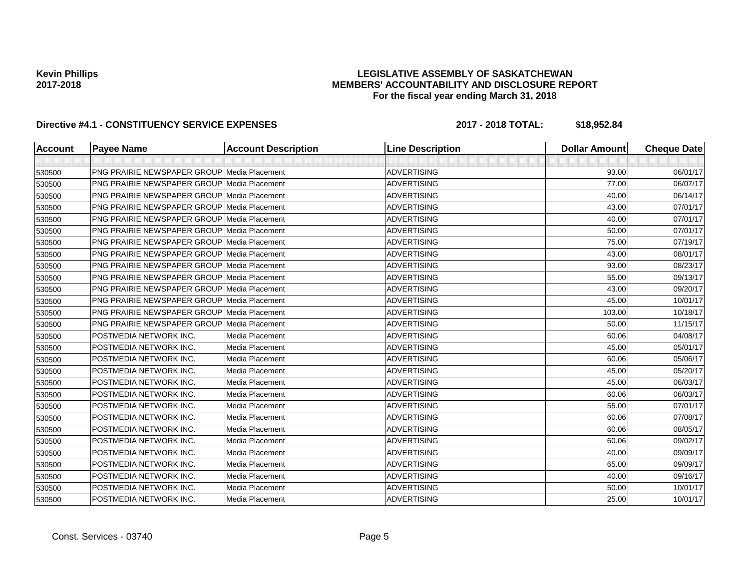## **LEGISLATIVE ASSEMBLY OF SASKATCHEWAN MEMBERS' ACCOUNTABILITY AND DISCLOSURE REPORT For the fiscal year ending March 31, 2018**

| <b>Account</b> | <b>Payee Name</b>                                  | <b>Account Description</b> | <b>Line Description</b> | <b>Dollar Amount</b> | <b>Cheque Date</b> |
|----------------|----------------------------------------------------|----------------------------|-------------------------|----------------------|--------------------|
|                |                                                    |                            |                         |                      |                    |
| 530500         | <b>PNG PRAIRIE NEWSPAPER GROUP Media Placement</b> |                            | <b>ADVERTISING</b>      | 93.00                | 06/01/17           |
| 530500         | <b>PNG PRAIRIE NEWSPAPER GROUP Media Placement</b> |                            | <b>ADVERTISING</b>      | 77.00                | 06/07/17           |
| 530500         | <b>PNG PRAIRIE NEWSPAPER GROUP Media Placement</b> |                            | <b>ADVERTISING</b>      | 40.00                | 06/14/17           |
| 530500         | <b>PNG PRAIRIE NEWSPAPER GROUP Media Placement</b> |                            | <b>ADVERTISING</b>      | 43.00                | 07/01/17           |
| 530500         | <b>PNG PRAIRIE NEWSPAPER GROUP Media Placement</b> |                            | <b>ADVERTISING</b>      | 40.00                | 07/01/17           |
| 530500         | <b>PNG PRAIRIE NEWSPAPER GROUP Media Placement</b> |                            | <b>ADVERTISING</b>      | 50.00                | 07/01/17           |
| 530500         | PNG PRAIRIE NEWSPAPER GROUP Media Placement        |                            | <b>ADVERTISING</b>      | 75.00                | 07/19/17           |
| 530500         | PNG PRAIRIE NEWSPAPER GROUP Media Placement        |                            | <b>ADVERTISING</b>      | 43.00                | 08/01/17           |
| 530500         | <b>PNG PRAIRIE NEWSPAPER GROUP Media Placement</b> |                            | <b>ADVERTISING</b>      | 93.00                | 08/23/17           |
| 530500         | <b>PNG PRAIRIE NEWSPAPER GROUP Media Placement</b> |                            | <b>ADVERTISING</b>      | 55.00                | 09/13/17           |
| 530500         | <b>PNG PRAIRIE NEWSPAPER GROUP Media Placement</b> |                            | <b>ADVERTISING</b>      | 43.00                | 09/20/17           |
| 530500         | <b>PNG PRAIRIE NEWSPAPER GROUP Media Placement</b> |                            | <b>ADVERTISING</b>      | 45.00                | 10/01/17           |
| 530500         | <b>PNG PRAIRIE NEWSPAPER GROUP Media Placement</b> |                            | <b>ADVERTISING</b>      | 103.00               | 10/18/17           |
| 530500         | <b>PNG PRAIRIE NEWSPAPER GROUP Media Placement</b> |                            | <b>ADVERTISING</b>      | 50.00                | 11/15/17           |
| 530500         | POSTMEDIA NETWORK INC.                             | Media Placement            | <b>ADVERTISING</b>      | 60.06                | 04/08/17           |
| 530500         | POSTMEDIA NETWORK INC.                             | Media Placement            | <b>ADVERTISING</b>      | 45.00                | 05/01/17           |
| 530500         | POSTMEDIA NETWORK INC.                             | Media Placement            | <b>ADVERTISING</b>      | 60.06                | 05/06/17           |
| 530500         | POSTMEDIA NETWORK INC.                             | Media Placement            | <b>ADVERTISING</b>      | 45.00                | 05/20/17           |
| 530500         | POSTMEDIA NETWORK INC.                             | Media Placement            | <b>ADVERTISING</b>      | 45.00                | 06/03/17           |
| 530500         | POSTMEDIA NETWORK INC.                             | Media Placement            | <b>ADVERTISING</b>      | 60.06                | 06/03/17           |
| 530500         | POSTMEDIA NETWORK INC.                             | Media Placement            | <b>ADVERTISING</b>      | 55.00                | 07/01/17           |
| 530500         | POSTMEDIA NETWORK INC.                             | Media Placement            | <b>ADVERTISING</b>      | 60.06                | 07/08/17           |
| 530500         | POSTMEDIA NETWORK INC.                             | Media Placement            | <b>ADVERTISING</b>      | 60.06                | 08/05/17           |
| 530500         | POSTMEDIA NETWORK INC.                             | Media Placement            | <b>ADVERTISING</b>      | 60.06                | 09/02/17           |
| 530500         | POSTMEDIA NETWORK INC.                             | Media Placement            | <b>ADVERTISING</b>      | 40.00                | 09/09/17           |
| 530500         | POSTMEDIA NETWORK INC.                             | Media Placement            | <b>ADVERTISING</b>      | 65.00                | 09/09/17           |
| 530500         | POSTMEDIA NETWORK INC.                             | Media Placement            | <b>ADVERTISING</b>      | 40.00                | 09/16/17           |
| 530500         | POSTMEDIA NETWORK INC.                             | Media Placement            | <b>ADVERTISING</b>      | 50.00                | 10/01/17           |
| 530500         | POSTMEDIA NETWORK INC.                             | Media Placement            | <b>ADVERTISING</b>      | 25.00                | 10/01/17           |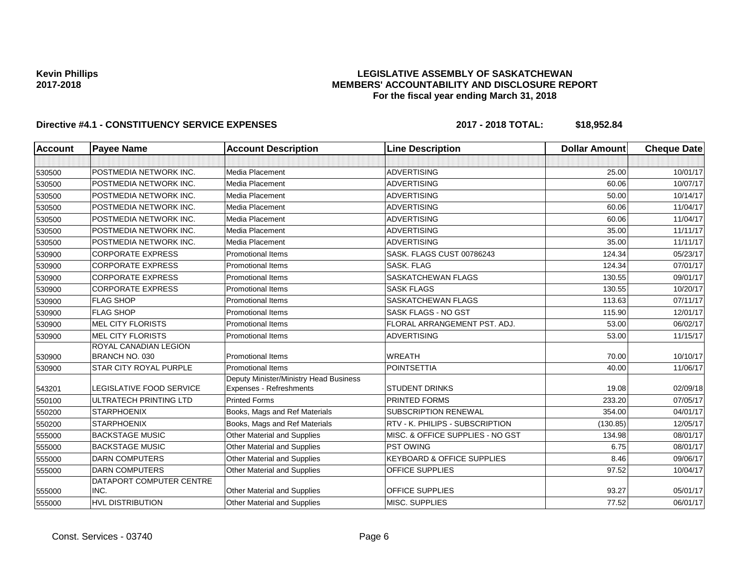## **LEGISLATIVE ASSEMBLY OF SASKATCHEWAN MEMBERS' ACCOUNTABILITY AND DISCLOSURE REPORT For the fiscal year ending March 31, 2018**

| <b>Account</b> | <b>Payee Name</b>                       | <b>Account Description</b>                                               | <b>Line Description</b>               | <b>Dollar Amount</b> | <b>Cheque Date</b> |
|----------------|-----------------------------------------|--------------------------------------------------------------------------|---------------------------------------|----------------------|--------------------|
|                |                                         |                                                                          |                                       |                      |                    |
| 530500         | POSTMEDIA NETWORK INC.                  | Media Placement                                                          | <b>ADVERTISING</b>                    | 25.00                | 10/01/17           |
| 530500         | POSTMEDIA NETWORK INC.                  | Media Placement                                                          | <b>ADVERTISING</b>                    | 60.06                | 10/07/17           |
| 530500         | POSTMEDIA NETWORK INC.                  | <b>Media Placement</b>                                                   | <b>ADVERTISING</b>                    | 50.00                | 10/14/17           |
| 530500         | POSTMEDIA NETWORK INC.                  | Media Placement                                                          | <b>ADVERTISING</b>                    | 60.06                | 11/04/17           |
| 530500         | POSTMEDIA NETWORK INC.                  | <b>Media Placement</b>                                                   | <b>ADVERTISING</b>                    | 60.06                | 11/04/17           |
| 530500         | POSTMEDIA NETWORK INC.                  | Media Placement                                                          | <b>ADVERTISING</b>                    | 35.00                | 11/11/17           |
| 530500         | POSTMEDIA NETWORK INC.                  | Media Placement                                                          | <b>ADVERTISING</b>                    | 35.00                | 11/11/17           |
| 530900         | <b>CORPORATE EXPRESS</b>                | <b>Promotional Items</b>                                                 | SASK. FLAGS CUST 00786243             | 124.34               | 05/23/17           |
| 530900         | <b>CORPORATE EXPRESS</b>                | <b>Promotional Items</b>                                                 | <b>SASK, FLAG</b>                     | 124.34               | 07/01/17           |
| 530900         | <b>CORPORATE EXPRESS</b>                | <b>Promotional Items</b>                                                 | <b>SASKATCHEWAN FLAGS</b>             | 130.55               | 09/01/17           |
| 530900         | <b>CORPORATE EXPRESS</b>                | <b>Promotional Items</b>                                                 | <b>SASK FLAGS</b>                     | 130.55               | 10/20/17           |
| 530900         | <b>FLAG SHOP</b>                        | <b>Promotional Items</b>                                                 | <b>SASKATCHEWAN FLAGS</b>             | 113.63               | 07/11/17           |
| 530900         | <b>FLAG SHOP</b>                        | <b>Promotional Items</b>                                                 | SASK FLAGS - NO GST                   | 115.90               | 12/01/17           |
| 530900         | <b>MEL CITY FLORISTS</b>                | <b>Promotional Items</b>                                                 | FLORAL ARRANGEMENT PST. ADJ.          | 53.00                | 06/02/17           |
| 530900         | <b>MEL CITY FLORISTS</b>                | <b>Promotional Items</b>                                                 | <b>ADVERTISING</b>                    | 53.00                | 11/15/17           |
| 530900         | ROYAL CANADIAN LEGION<br>BRANCH NO. 030 | <b>Promotional Items</b>                                                 | <b>WREATH</b>                         | 70.00                | 10/10/17           |
| 530900         | <b>STAR CITY ROYAL PURPLE</b>           | <b>Promotional Items</b>                                                 | <b>POINTSETTIA</b>                    | 40.00                | 11/06/17           |
| 543201         | <b>LEGISLATIVE FOOD SERVICE</b>         | Deputy Minister/Ministry Head Business<br><b>Expenses - Refreshments</b> | <b>STUDENT DRINKS</b>                 | 19.08                | 02/09/18           |
| 550100         | ULTRATECH PRINTING LTD                  | <b>Printed Forms</b>                                                     | PRINTED FORMS                         | 233.20               | 07/05/17           |
| 550200         | <b>STARPHOENIX</b>                      | Books, Mags and Ref Materials                                            | <b>SUBSCRIPTION RENEWAL</b>           | 354.00               | 04/01/17           |
| 550200         | <b>STARPHOENIX</b>                      | Books, Mags and Ref Materials                                            | RTV - K. PHILIPS - SUBSCRIPTION       | (130.85)             | 12/05/17           |
| 555000         | <b>BACKSTAGE MUSIC</b>                  | <b>Other Material and Supplies</b>                                       | MISC. & OFFICE SUPPLIES - NO GST      | 134.98               | 08/01/17           |
| 555000         | <b>BACKSTAGE MUSIC</b>                  | Other Material and Supplies                                              | <b>PST OWING</b>                      | 6.75                 | 08/01/17           |
| 555000         | <b>DARN COMPUTERS</b>                   | Other Material and Supplies                                              | <b>KEYBOARD &amp; OFFICE SUPPLIES</b> | 8.46                 | 09/06/17           |
| 555000         | <b>DARN COMPUTERS</b>                   | Other Material and Supplies                                              | OFFICE SUPPLIES                       | 97.52                | 10/04/17           |
| 555000         | DATAPORT COMPUTER CENTRE<br>INC.        | Other Material and Supplies                                              | <b>OFFICE SUPPLIES</b>                | 93.27                | 05/01/17           |
| 555000         | <b>HVL DISTRIBUTION</b>                 | <b>Other Material and Supplies</b>                                       | MISC. SUPPLIES                        | 77.52                | 06/01/17           |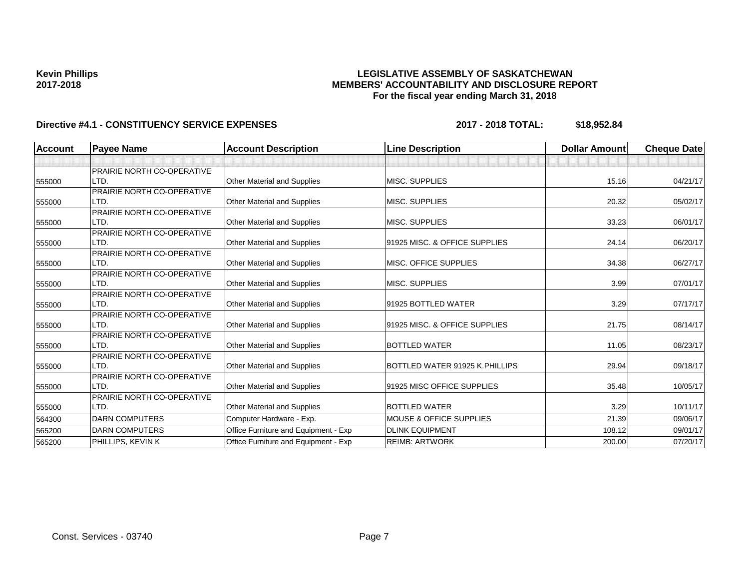## **LEGISLATIVE ASSEMBLY OF SASKATCHEWAN MEMBERS' ACCOUNTABILITY AND DISCLOSURE REPORT For the fiscal year ending March 31, 2018**

| <b>Account</b> | <b>Payee Name</b>          | <b>Account Description</b>           | <b>Line Description</b>            | <b>Dollar Amount</b> | <b>Cheque Date</b> |
|----------------|----------------------------|--------------------------------------|------------------------------------|----------------------|--------------------|
|                |                            |                                      |                                    |                      |                    |
|                | PRAIRIE NORTH CO-OPERATIVE |                                      |                                    |                      |                    |
| 555000         | LTD.                       | <b>Other Material and Supplies</b>   | <b>MISC. SUPPLIES</b>              | 15.16                | 04/21/17           |
|                | PRAIRIE NORTH CO-OPERATIVE |                                      |                                    |                      |                    |
| 555000         | LTD.                       | Other Material and Supplies          | MISC. SUPPLIES                     | 20.32                | 05/02/17           |
|                | PRAIRIE NORTH CO-OPERATIVE |                                      |                                    |                      |                    |
| 555000         | LTD.                       | <b>Other Material and Supplies</b>   | MISC. SUPPLIES                     | 33.23                | 06/01/17           |
|                | PRAIRIE NORTH CO-OPERATIVE |                                      |                                    |                      |                    |
| 555000         | LTD.                       | <b>Other Material and Supplies</b>   | 91925 MISC. & OFFICE SUPPLIES      | 24.14                | 06/20/17           |
|                | PRAIRIE NORTH CO-OPERATIVE |                                      |                                    |                      |                    |
| 555000         | LTD.                       | Other Material and Supplies          | MISC. OFFICE SUPPLIES              | 34.38                | 06/27/17           |
|                | PRAIRIE NORTH CO-OPERATIVE |                                      |                                    |                      |                    |
| 555000         | LTD.                       | Other Material and Supplies          | MISC. SUPPLIES                     | 3.99                 | 07/01/17           |
|                | PRAIRIE NORTH CO-OPERATIVE |                                      |                                    |                      |                    |
| 555000         | LTD.                       | Other Material and Supplies          | 91925 BOTTLED WATER                | 3.29                 | 07/17/17           |
|                | PRAIRIE NORTH CO-OPERATIVE |                                      |                                    |                      |                    |
| 555000         | LTD.                       | <b>Other Material and Supplies</b>   | 91925 MISC. & OFFICE SUPPLIES      | 21.75                | 08/14/17           |
|                | PRAIRIE NORTH CO-OPERATIVE |                                      |                                    |                      |                    |
| 555000         | LTD.                       | Other Material and Supplies          | <b>BOTTLED WATER</b>               | 11.05                | 08/23/17           |
|                | PRAIRIE NORTH CO-OPERATIVE |                                      |                                    |                      |                    |
| 555000         | LTD.                       | Other Material and Supplies          | BOTTLED WATER 91925 K.PHILLIPS     | 29.94                | 09/18/17           |
|                | PRAIRIE NORTH CO-OPERATIVE |                                      |                                    |                      |                    |
| 555000         | LTD.                       | Other Material and Supplies          | 91925 MISC OFFICE SUPPLIES         | 35.48                | 10/05/17           |
|                | PRAIRIE NORTH CO-OPERATIVE |                                      |                                    |                      |                    |
| 555000         | LTD.                       | Other Material and Supplies          | <b>BOTTLED WATER</b>               | 3.29                 | 10/11/17           |
| 564300         | <b>DARN COMPUTERS</b>      | Computer Hardware - Exp.             | <b>MOUSE &amp; OFFICE SUPPLIES</b> | 21.39                | 09/06/17           |
| 565200         | <b>DARN COMPUTERS</b>      | Office Furniture and Equipment - Exp | <b>DLINK EQUIPMENT</b>             | 108.12               | 09/01/17           |
| 565200         | PHILLIPS, KEVIN K          | Office Furniture and Equipment - Exp | <b>REIMB: ARTWORK</b>              | 200.00               | 07/20/17           |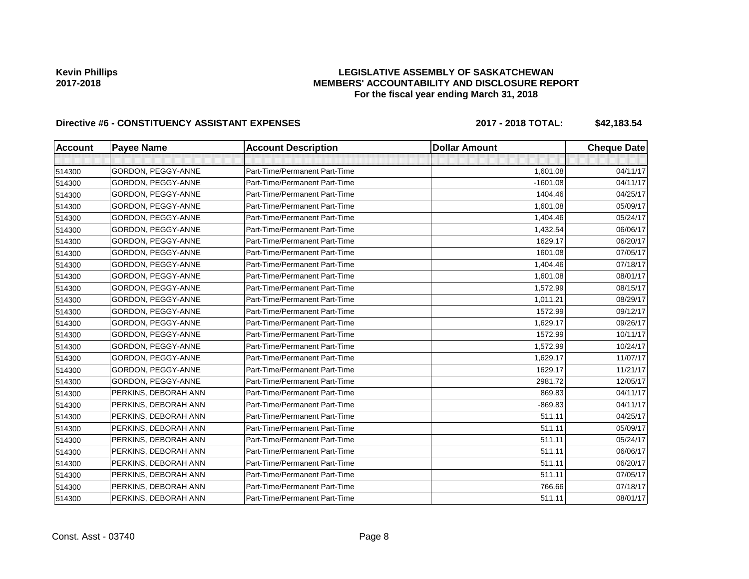## **LEGISLATIVE ASSEMBLY OF SASKATCHEWAN MEMBERS' ACCOUNTABILITY AND DISCLOSURE REPORT For the fiscal year ending March 31, 2018**

# Directive #6 - CONSTITUENCY ASSISTANT EXPENSES 2017 - 2018 TOTAL: \$42,183.54

| <b>Account</b> | <b>Payee Name</b>    | <b>Account Description</b>    | <b>Dollar Amount</b> | <b>Cheque Date</b> |
|----------------|----------------------|-------------------------------|----------------------|--------------------|
|                |                      |                               |                      |                    |
| 514300         | GORDON, PEGGY-ANNE   | Part-Time/Permanent Part-Time | 1,601.08             | 04/11/17           |
| 514300         | GORDON, PEGGY-ANNE   | Part-Time/Permanent Part-Time | $-1601.08$           | 04/11/17           |
| 514300         | GORDON, PEGGY-ANNE   | Part-Time/Permanent Part-Time | 1404.46              | 04/25/17           |
| 514300         | GORDON, PEGGY-ANNE   | Part-Time/Permanent Part-Time | 1,601.08             | 05/09/17           |
| 514300         | GORDON, PEGGY-ANNE   | Part-Time/Permanent Part-Time | 1,404.46             | 05/24/17           |
| 514300         | GORDON, PEGGY-ANNE   | Part-Time/Permanent Part-Time | 1,432.54             | 06/06/17           |
| 514300         | GORDON, PEGGY-ANNE   | Part-Time/Permanent Part-Time | 1629.17              | 06/20/17           |
| 514300         | GORDON, PEGGY-ANNE   | Part-Time/Permanent Part-Time | 1601.08              | 07/05/17           |
| 514300         | GORDON, PEGGY-ANNE   | Part-Time/Permanent Part-Time | 1,404.46             | 07/18/17           |
| 514300         | GORDON, PEGGY-ANNE   | Part-Time/Permanent Part-Time | 1,601.08             | 08/01/17           |
| 514300         | GORDON, PEGGY-ANNE   | Part-Time/Permanent Part-Time | 1,572.99             | 08/15/17           |
| 514300         | GORDON, PEGGY-ANNE   | Part-Time/Permanent Part-Time | 1,011.21             | 08/29/17           |
| 514300         | GORDON, PEGGY-ANNE   | Part-Time/Permanent Part-Time | 1572.99              | 09/12/17           |
| 514300         | GORDON, PEGGY-ANNE   | Part-Time/Permanent Part-Time | 1,629.17             | 09/26/17           |
| 514300         | GORDON, PEGGY-ANNE   | Part-Time/Permanent Part-Time | 1572.99              | 10/11/17           |
| 514300         | GORDON, PEGGY-ANNE   | Part-Time/Permanent Part-Time | 1,572.99             | 10/24/17           |
| 514300         | GORDON, PEGGY-ANNE   | Part-Time/Permanent Part-Time | 1,629.17             | 11/07/17           |
| 514300         | GORDON, PEGGY-ANNE   | Part-Time/Permanent Part-Time | 1629.17              | 11/21/17           |
| 514300         | GORDON, PEGGY-ANNE   | Part-Time/Permanent Part-Time | 2981.72              | 12/05/17           |
| 514300         | PERKINS, DEBORAH ANN | Part-Time/Permanent Part-Time | 869.83               | 04/11/17           |
| 514300         | PERKINS, DEBORAH ANN | Part-Time/Permanent Part-Time | $-869.83$            | 04/11/17           |
| 514300         | PERKINS, DEBORAH ANN | Part-Time/Permanent Part-Time | 511.11               | 04/25/17           |
| 514300         | PERKINS, DEBORAH ANN | Part-Time/Permanent Part-Time | 511.11               | 05/09/17           |
| 514300         | PERKINS, DEBORAH ANN | Part-Time/Permanent Part-Time | 511.11               | 05/24/17           |
| 514300         | PERKINS, DEBORAH ANN | Part-Time/Permanent Part-Time | 511.11               | 06/06/17           |
| 514300         | PERKINS, DEBORAH ANN | Part-Time/Permanent Part-Time | 511.11               | 06/20/17           |
| 514300         | PERKINS, DEBORAH ANN | Part-Time/Permanent Part-Time | 511.11               | 07/05/17           |
| 514300         | PERKINS, DEBORAH ANN | Part-Time/Permanent Part-Time | 766.66               | 07/18/17           |
| 514300         | PERKINS, DEBORAH ANN | Part-Time/Permanent Part-Time | 511.11               | 08/01/17           |